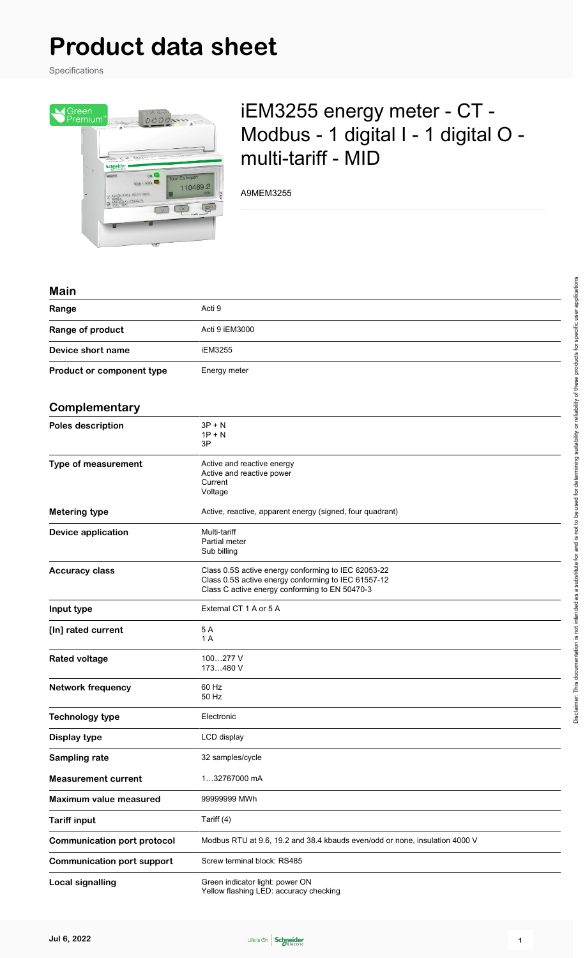## **Product data sheet**

Specifications



## iEM3255 energy meter - CT - Modbus - 1 digital I - 1 digital O multi-tariff - MID

A9MEM3255

## **Main**

| Range                              | Acti 9                                                                                                                                                       |
|------------------------------------|--------------------------------------------------------------------------------------------------------------------------------------------------------------|
| Range of product                   | Acti 9 iEM3000                                                                                                                                               |
| Device short name                  | <b>iEM3255</b>                                                                                                                                               |
| Product or component type          | Energy meter                                                                                                                                                 |
| Complementary                      |                                                                                                                                                              |
| Poles description                  | $3P + N$<br>$1P + N$<br>3P                                                                                                                                   |
| <b>Type of measurement</b>         | Active and reactive energy<br>Active and reactive power<br>Current<br>Voltage                                                                                |
| Metering type                      | Active, reactive, apparent energy (signed, four quadrant)                                                                                                    |
| Device application                 | Multi-tariff<br>Partial meter<br>Sub billing                                                                                                                 |
| <b>Accuracy class</b>              | Class 0.5S active energy conforming to IEC 62053-22<br>Class 0.5S active energy conforming to IEC 61557-12<br>Class C active energy conforming to EN 50470-3 |
| Input type                         | External CT 1 A or 5 A                                                                                                                                       |
| [In] rated current                 | 5 A<br>1 A                                                                                                                                                   |
| <b>Rated voltage</b>               | 100277 V<br>173480 V                                                                                                                                         |
| <b>Network frequency</b>           | 60 Hz<br>50 Hz                                                                                                                                               |
| <b>Technology type</b>             | Electronic                                                                                                                                                   |
| Display type                       | LCD display                                                                                                                                                  |
| Sampling rate                      | 32 samples/cycle                                                                                                                                             |
| <b>Measurement current</b>         | 132767000 mA                                                                                                                                                 |
| Maximum value measured             | 99999999 MWh                                                                                                                                                 |
| <b>Tariff input</b>                | Tariff (4)                                                                                                                                                   |
| <b>Communication port protocol</b> | Modbus RTU at 9.6, 19.2 and 38.4 kbauds even/odd or none, insulation 4000 V                                                                                  |
| <b>Communication port support</b>  | Screw terminal block: RS485                                                                                                                                  |
| <b>Local signalling</b>            | Green indicator light: power ON                                                                                                                              |

Yellow flashing LED: accuracy checking

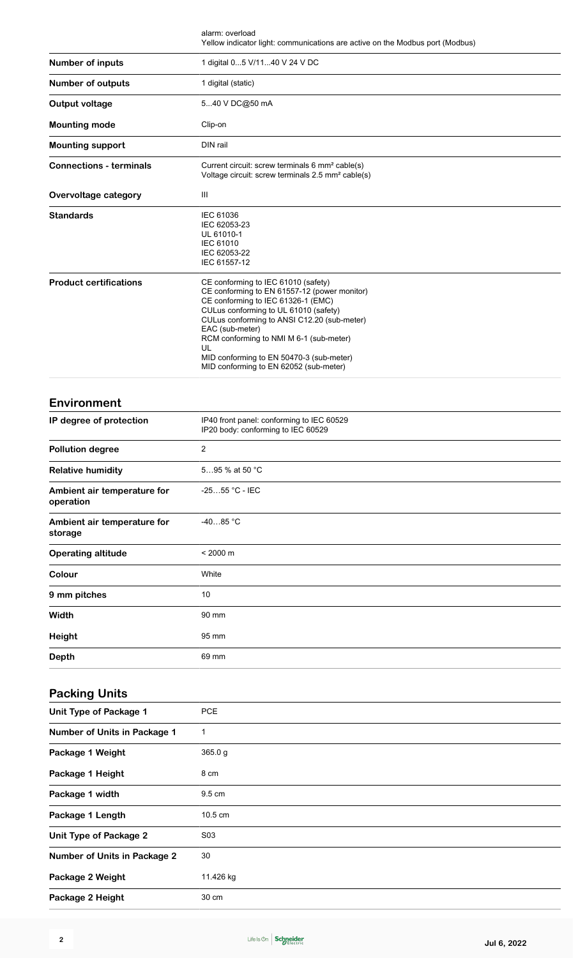|                                          | alarm: overload<br>Yellow indicator light: communications are active on the Modbus port (Modbus)                                                                                                                                                                                                                                                                            |
|------------------------------------------|-----------------------------------------------------------------------------------------------------------------------------------------------------------------------------------------------------------------------------------------------------------------------------------------------------------------------------------------------------------------------------|
| <b>Number of inputs</b>                  | 1 digital 05 V/1140 V 24 V DC                                                                                                                                                                                                                                                                                                                                               |
| Number of outputs                        | 1 digital (static)                                                                                                                                                                                                                                                                                                                                                          |
| <b>Output voltage</b>                    | 540 V DC@50 mA                                                                                                                                                                                                                                                                                                                                                              |
| <b>Mounting mode</b>                     | Clip-on                                                                                                                                                                                                                                                                                                                                                                     |
| <b>Mounting support</b>                  | DIN rail                                                                                                                                                                                                                                                                                                                                                                    |
| <b>Connections - terminals</b>           | Current circuit: screw terminals 6 mm <sup>2</sup> cable(s)<br>Voltage circuit: screw terminals 2.5 mm <sup>2</sup> cable(s)                                                                                                                                                                                                                                                |
| Overvoltage category                     | Ш                                                                                                                                                                                                                                                                                                                                                                           |
| <b>Standards</b>                         | <b>IEC 61036</b><br>IEC 62053-23<br>UL 61010-1<br>IEC 61010<br>IEC 62053-22<br>IEC 61557-12                                                                                                                                                                                                                                                                                 |
| <b>Product certifications</b>            | CE conforming to IEC 61010 (safety)<br>CE conforming to EN 61557-12 (power monitor)<br>CE conforming to IEC 61326-1 (EMC)<br>CULus conforming to UL 61010 (safety)<br>CULus conforming to ANSI C12.20 (sub-meter)<br>EAC (sub-meter)<br>RCM conforming to NMI M 6-1 (sub-meter)<br>UL<br>MID conforming to EN 50470-3 (sub-meter)<br>MID conforming to EN 62052 (sub-meter) |
| Environment                              |                                                                                                                                                                                                                                                                                                                                                                             |
| IP degree of protection                  | IP40 front panel: conforming to IEC 60529<br>IP20 body: conforming to IEC 60529                                                                                                                                                                                                                                                                                             |
| <b>Pollution degree</b>                  | $\overline{2}$                                                                                                                                                                                                                                                                                                                                                              |
| <b>Relative humidity</b>                 | 595 % at 50 °C                                                                                                                                                                                                                                                                                                                                                              |
| Ambient air temperature for<br>operation | -2555 °C - IEC                                                                                                                                                                                                                                                                                                                                                              |
| Ambient air temperature for<br>storage   | $-4085 °C$                                                                                                                                                                                                                                                                                                                                                                  |
| <b>Operating altitude</b>                | $< 2000 \text{ m}$                                                                                                                                                                                                                                                                                                                                                          |
| Colour                                   | White                                                                                                                                                                                                                                                                                                                                                                       |
| 9 mm pitches                             | 10                                                                                                                                                                                                                                                                                                                                                                          |
| Width                                    | 90 mm                                                                                                                                                                                                                                                                                                                                                                       |
| <b>Height</b>                            | 95 mm                                                                                                                                                                                                                                                                                                                                                                       |
| <b>Depth</b>                             | 69 mm                                                                                                                                                                                                                                                                                                                                                                       |
|                                          |                                                                                                                                                                                                                                                                                                                                                                             |
| <b>Packing Units</b>                     |                                                                                                                                                                                                                                                                                                                                                                             |
| Unit Type of Package 1                   | <b>PCE</b>                                                                                                                                                                                                                                                                                                                                                                  |
| Number of Units in Package 1             | 1                                                                                                                                                                                                                                                                                                                                                                           |
| Package 1 Weight                         | 365.0g                                                                                                                                                                                                                                                                                                                                                                      |
| Package 1 Height                         | 8 cm                                                                                                                                                                                                                                                                                                                                                                        |
| Package 1 width                          | 9.5 cm                                                                                                                                                                                                                                                                                                                                                                      |
| Package 1 Length                         | 10.5 cm                                                                                                                                                                                                                                                                                                                                                                     |
| Unit Type of Package 2                   | S03                                                                                                                                                                                                                                                                                                                                                                         |
| <b>Number of Units in Package 2</b>      | 30                                                                                                                                                                                                                                                                                                                                                                          |
| Package 2 Weight                         | 11.426 kg                                                                                                                                                                                                                                                                                                                                                                   |

**Package 2 Height** 30 cm